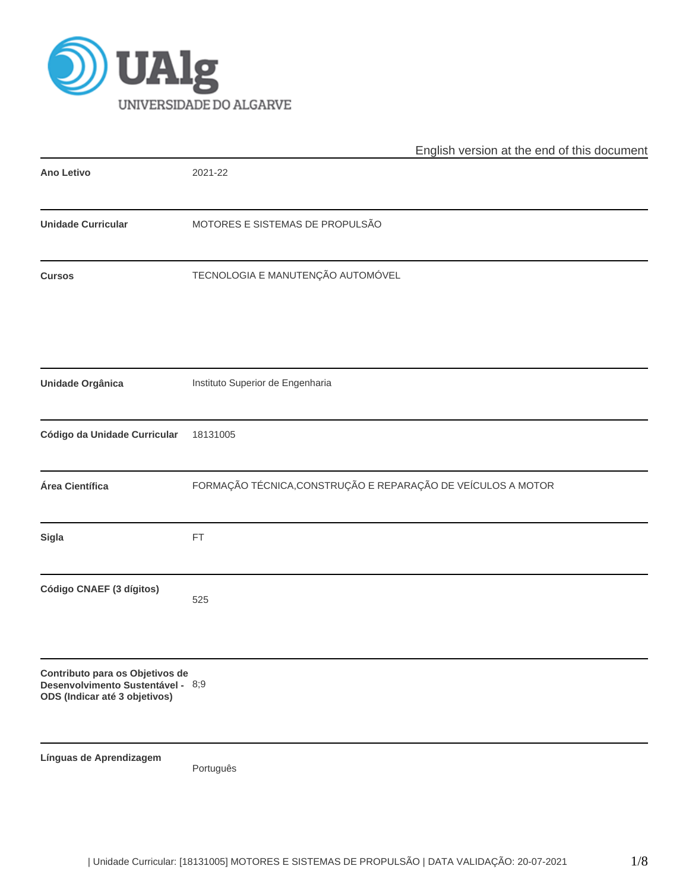

|                                                                                                       | English version at the end of this document                  |
|-------------------------------------------------------------------------------------------------------|--------------------------------------------------------------|
| Ano Letivo                                                                                            | 2021-22                                                      |
| <b>Unidade Curricular</b>                                                                             | MOTORES E SISTEMAS DE PROPULSÃO                              |
| <b>Cursos</b>                                                                                         | TECNOLOGIA E MANUTENÇÃO AUTOMÓVEL                            |
| <b>Unidade Orgânica</b>                                                                               | Instituto Superior de Engenharia                             |
| Código da Unidade Curricular                                                                          | 18131005                                                     |
| Área Científica                                                                                       | FORMAÇÃO TÉCNICA, CONSTRUÇÃO E REPARAÇÃO DE VEÍCULOS A MOTOR |
| <b>Sigla</b>                                                                                          | FT                                                           |
| Código CNAEF (3 dígitos)                                                                              | 525                                                          |
| Contributo para os Objetivos de<br>Desenvolvimento Sustentável - 8;9<br>ODS (Indicar até 3 objetivos) |                                                              |
| Línguas de Aprendizagem                                                                               | Português                                                    |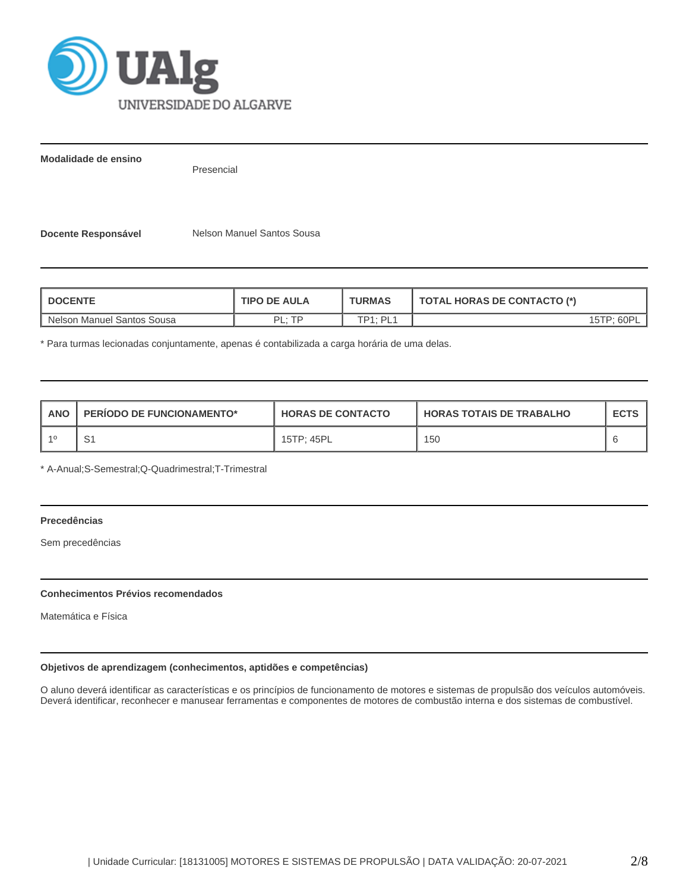

**Modalidade de ensino**

Presencial

**Docente Responsável Melson Manuel Santos Sousa** 

| <b>DOCENTE</b>             | <b>TIPO DE AULA</b> | <b>TURMAS</b>         | <b>TOTAL HORAS DE CONTACTO (*)</b> |  |  |
|----------------------------|---------------------|-----------------------|------------------------------------|--|--|
| Nelson Manuel Santos Sousa | םד <sub>י</sub> ום  | $TD4 \cdot DI_1$<br>- |                                    |  |  |

\* Para turmas lecionadas conjuntamente, apenas é contabilizada a carga horária de uma delas.

| <b>ANO</b> | <b>PERIODO DE FUNCIONAMENTO*</b> | <b>HORAS DE CONTACTO</b> | <b>HORAS TOTAIS DE TRABALHO</b> | <b>ECTS</b> |
|------------|----------------------------------|--------------------------|---------------------------------|-------------|
| $-40$      | ں                                | 15TP: 45PL               | 150                             |             |

\* A-Anual;S-Semestral;Q-Quadrimestral;T-Trimestral

# **Precedências**

Sem precedências

## **Conhecimentos Prévios recomendados**

Matemática e Física

## **Objetivos de aprendizagem (conhecimentos, aptidões e competências)**

O aluno deverá identificar as características e os princípios de funcionamento de motores e sistemas de propulsão dos veículos automóveis. Deverá identificar, reconhecer e manusear ferramentas e componentes de motores de combustão interna e dos sistemas de combustível.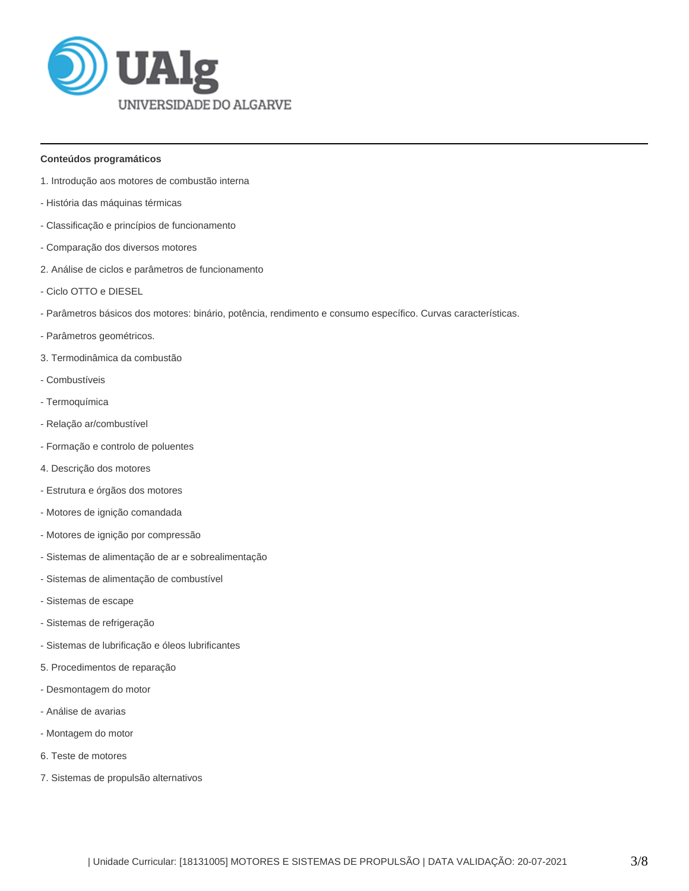

### **Conteúdos programáticos**

- 1. Introdução aos motores de combustão interna
- História das máquinas térmicas
- Classificação e princípios de funcionamento
- Comparação dos diversos motores
- 2. Análise de ciclos e parâmetros de funcionamento
- Ciclo OTTO e DIESEL
- Parâmetros básicos dos motores: binário, potência, rendimento e consumo específico. Curvas características.
- Parâmetros geométricos.
- 3. Termodinâmica da combustão
- Combustíveis
- Termoquímica
- Relação ar/combustível
- Formação e controlo de poluentes
- 4. Descrição dos motores
- Estrutura e órgãos dos motores
- Motores de ignição comandada
- Motores de ignição por compressão
- Sistemas de alimentação de ar e sobrealimentação
- Sistemas de alimentação de combustível
- Sistemas de escape
- Sistemas de refrigeração
- Sistemas de lubrificação e óleos lubrificantes
- 5. Procedimentos de reparação
- Desmontagem do motor
- Análise de avarias
- Montagem do motor
- 6. Teste de motores
- 7. Sistemas de propulsão alternativos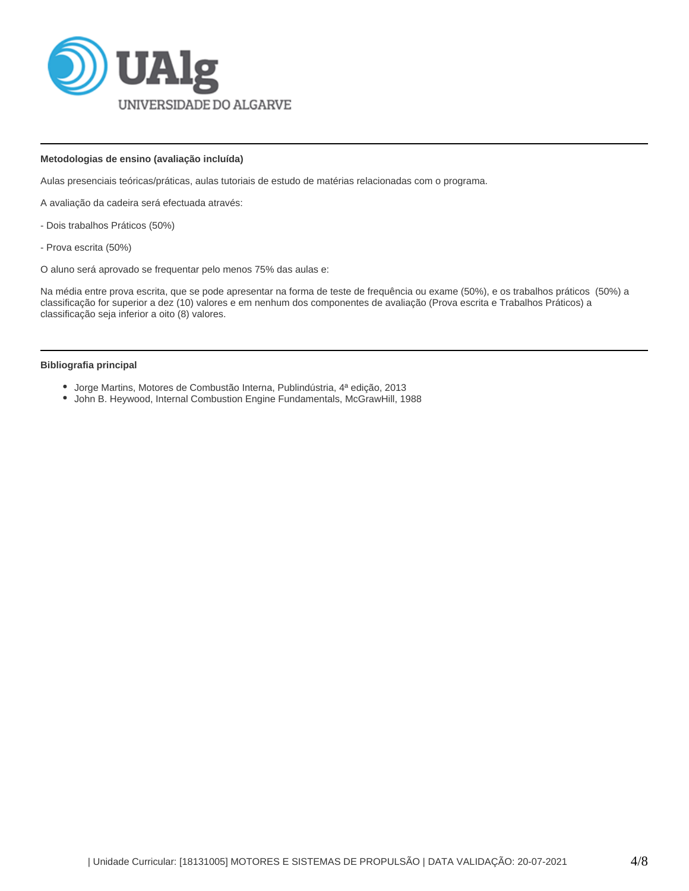

### **Metodologias de ensino (avaliação incluída)**

Aulas presenciais teóricas/práticas, aulas tutoriais de estudo de matérias relacionadas com o programa.

A avaliação da cadeira será efectuada através:

- Dois trabalhos Práticos (50%)
- Prova escrita (50%)

O aluno será aprovado se frequentar pelo menos 75% das aulas e:

Na média entre prova escrita, que se pode apresentar na forma de teste de frequência ou exame (50%), e os trabalhos práticos (50%) a classificação for superior a dez (10) valores e em nenhum dos componentes de avaliação (Prova escrita e Trabalhos Práticos) a classificação seja inferior a oito (8) valores.

#### **Bibliografia principal**

- Jorge Martins, Motores de Combustão Interna, Publindústria, 4ª edição, 2013
- John B. Heywood, Internal Combustion Engine Fundamentals, McGrawHill, 1988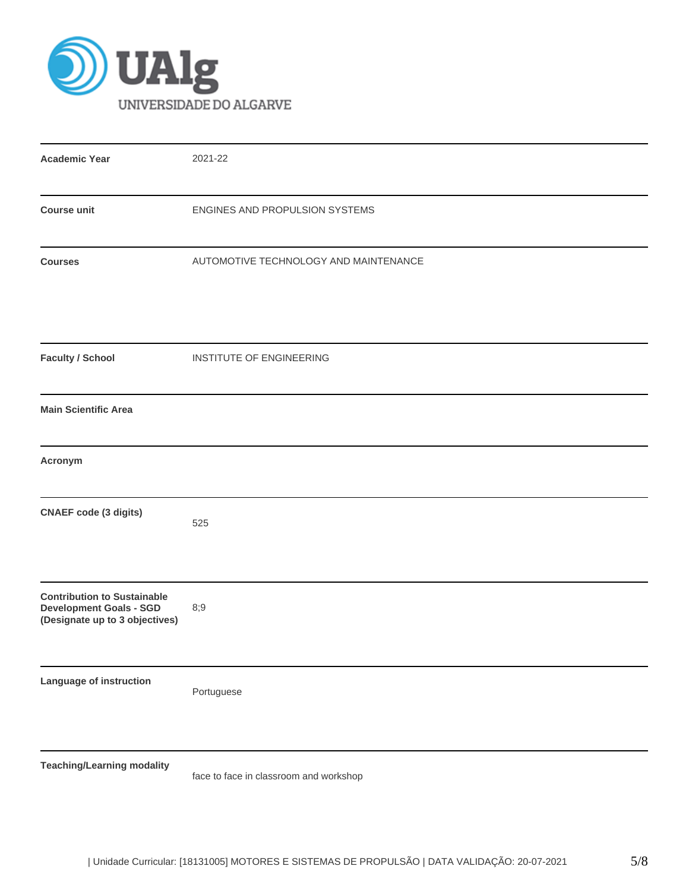

| <b>Academic Year</b>                                                                                   | 2021-22                                |
|--------------------------------------------------------------------------------------------------------|----------------------------------------|
| <b>Course unit</b>                                                                                     | ENGINES AND PROPULSION SYSTEMS         |
| <b>Courses</b>                                                                                         | AUTOMOTIVE TECHNOLOGY AND MAINTENANCE  |
| <b>Faculty / School</b>                                                                                | INSTITUTE OF ENGINEERING               |
| <b>Main Scientific Area</b>                                                                            |                                        |
| Acronym                                                                                                |                                        |
| <b>CNAEF</b> code (3 digits)                                                                           | 525                                    |
| <b>Contribution to Sustainable</b><br><b>Development Goals - SGD</b><br>(Designate up to 3 objectives) | 8;9                                    |
| Language of instruction                                                                                | Portuguese                             |
| <b>Teaching/Learning modality</b>                                                                      | face to face in classroom and workshop |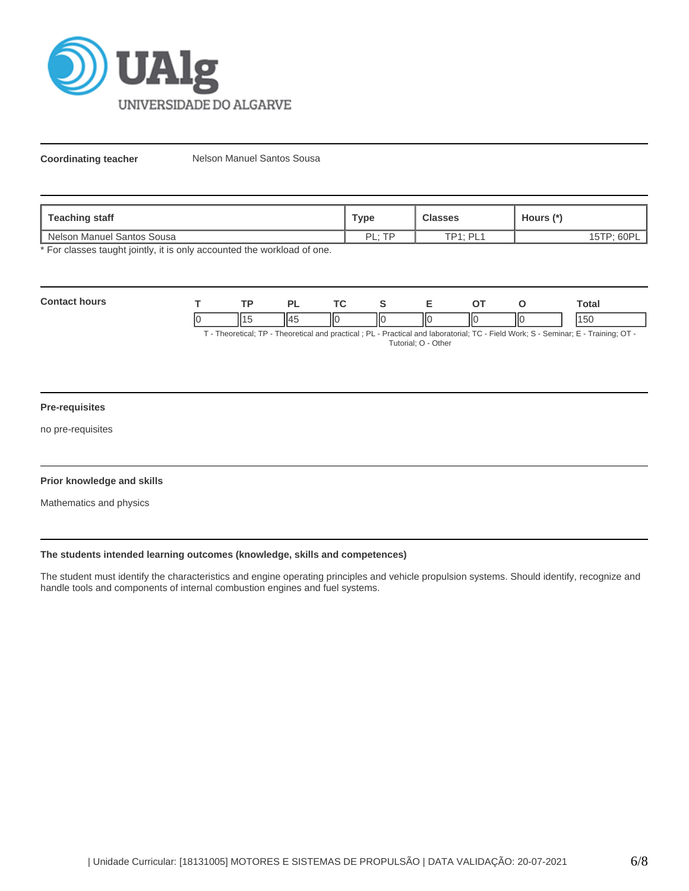

**Coordinating teacher** Nelson Manuel Santos Sousa

| <b>Teaching staff</b>             | Туре            | <b>Classes</b>       | Hours (*)                    |
|-----------------------------------|-----------------|----------------------|------------------------------|
| n Manuel Santos Sousa<br>I Nelson | <b>TD</b><br>ום | $TPI \cdot PI$<br>-- | 60P<br><b>IETD.</b><br>∣ ∪ I |

\* For classes taught jointly, it is only accounted the workload of one.

| Cont |    | TD. |     | <b>Trea</b> |    |    |    | otal   |
|------|----|-----|-----|-------------|----|----|----|--------|
|      | ıc |     | 114 | IЮ<br>I     | ШC | IЮ | ШΟ | $\sim$ |

T - Theoretical; TP - Theoretical and practical ; PL - Practical and laboratorial; TC - Field Work; S - Seminar; E - Training; OT - Tutorial; O - Other

# **Pre-requisites**

no pre-requisites

## **Prior knowledge and skills**

Mathematics and physics

### **The students intended learning outcomes (knowledge, skills and competences)**

The student must identify the characteristics and engine operating principles and vehicle propulsion systems. Should identify, recognize and handle tools and components of internal combustion engines and fuel systems.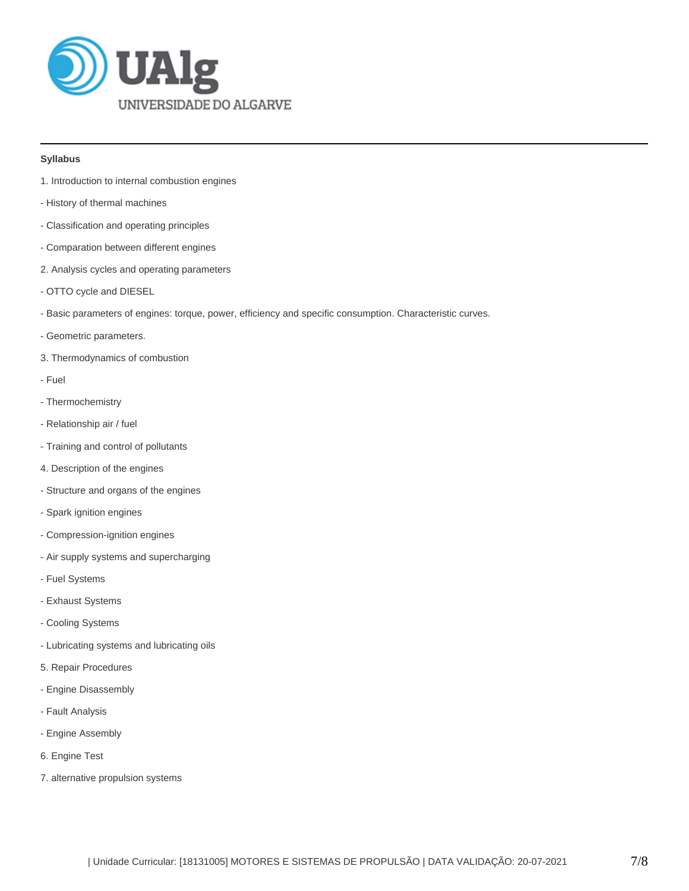

## **Syllabus**

- 1. Introduction to internal combustion engines
- History of thermal machines
- Classification and operating principles
- Comparation between different engines
- 2. Analysis cycles and operating parameters
- OTTO cycle and DIESEL
- Basic parameters of engines: torque, power, efficiency and specific consumption. Characteristic curves.
- Geometric parameters.
- 3. Thermodynamics of combustion
- Fuel
- Thermochemistry
- Relationship air / fuel
- Training and control of pollutants
- 4. Description of the engines
- Structure and organs of the engines
- Spark ignition engines
- Compression-ignition engines
- Air supply systems and supercharging
- Fuel Systems
- Exhaust Systems
- Cooling Systems
- Lubricating systems and lubricating oils
- 5. Repair Procedures
- Engine Disassembly
- Fault Analysis
- Engine Assembly
- 6. Engine Test
- 7. alternative propulsion systems